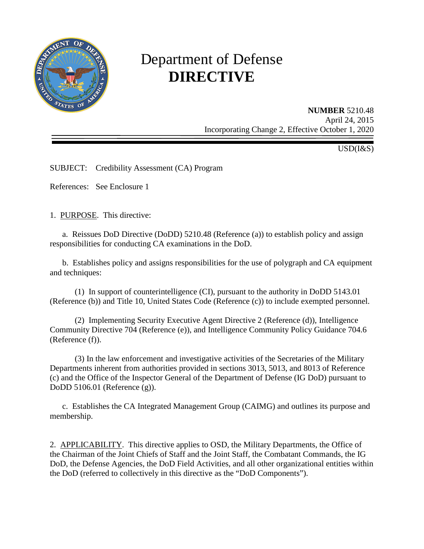

# Department of Defense **DIRECTIVE**

**NUMBER** 5210.48 April 24, 2015 Incorporating Change 2, Effective October 1, 2020

USD(I&S)

SUBJECT: Credibility Assessment (CA) Program

References: See Enclosure 1

1. PURPOSE. This directive:

 a. Reissues DoD Directive (DoDD) 5210.48 (Reference (a)) to establish policy and assign responsibilities for conducting CA examinations in the DoD.

b. Establishes policy and assigns responsibilities for the use of polygraph and CA equipment and techniques:

(1) In support of counterintelligence (CI), pursuant to the authority in DoDD 5143.01 (Reference (b)) and Title 10, United States Code (Reference (c)) to include exempted personnel.

(2) Implementing Security Executive Agent Directive 2 (Reference (d)), Intelligence Community Directive 704 (Reference (e)), and Intelligence Community Policy Guidance 704.6 (Reference (f)).

(3) In the law enforcement and investigative activities of the Secretaries of the Military Departments inherent from authorities provided in sections 3013, 5013, and 8013 of Reference (c) and the Office of the Inspector General of the Department of Defense (IG DoD) pursuant to DoDD 5106.01 (Reference (g)).

c. Establishes the CA Integrated Management Group (CAIMG) and outlines its purpose and membership.

2. APPLICABILITY. This directive applies to OSD, the Military Departments, the Office of the Chairman of the Joint Chiefs of Staff and the Joint Staff, the Combatant Commands, the IG DoD, the Defense Agencies, the DoD Field Activities, and all other organizational entities within the DoD (referred to collectively in this directive as the "DoD Components").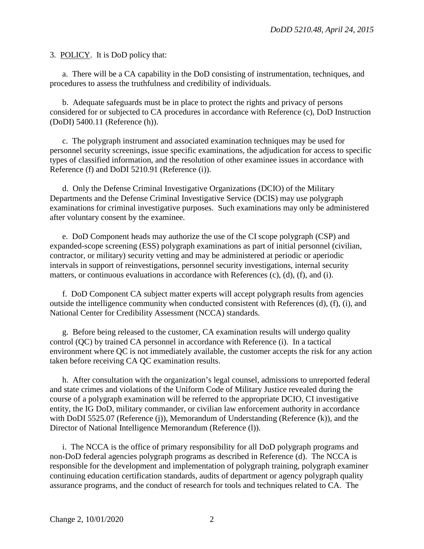3. POLICY. It is DoD policy that:

a. There will be a CA capability in the DoD consisting of instrumentation, techniques, and procedures to assess the truthfulness and credibility of individuals.

b. Adequate safeguards must be in place to protect the rights and privacy of persons considered for or subjected to CA procedures in accordance with Reference (c), DoD Instruction (DoDI) 5400.11 (Reference (h)).

 c. The polygraph instrument and associated examination techniques may be used for personnel security screenings, issue specific examinations, the adjudication for access to specific types of classified information, and the resolution of other examinee issues in accordance with Reference (f) and DoDI 5210.91 (Reference (i)).

 d. Only the Defense Criminal Investigative Organizations (DCIO) of the Military Departments and the Defense Criminal Investigative Service (DCIS) may use polygraph examinations for criminal investigative purposes. Such examinations may only be administered after voluntary consent by the examinee.

e. DoD Component heads may authorize the use of the CI scope polygraph (CSP) and expanded-scope screening (ESS) polygraph examinations as part of initial personnel (civilian, contractor, or military) security vetting and may be administered at periodic or aperiodic intervals in support of reinvestigations, personnel security investigations, internal security matters, or continuous evaluations in accordance with References (c), (d), (f), and (i).

 f. DoD Component CA subject matter experts will accept polygraph results from agencies outside the intelligence community when conducted consistent with References (d), (f), (i), and National Center for Credibility Assessment (NCCA) standards.

 g. Before being released to the customer, CA examination results will undergo quality control (QC) by trained CA personnel in accordance with Reference (i). In a tactical environment where QC is not immediately available, the customer accepts the risk for any action taken before receiving CA QC examination results.

h. After consultation with the organization's legal counsel, admissions to unreported federal and state crimes and violations of the Uniform Code of Military Justice revealed during the course of a polygraph examination will be referred to the appropriate DCIO, CI investigative entity, the IG DoD, military commander, or civilian law enforcement authority in accordance with DoDI 5525.07 (Reference (j)), Memorandum of Understanding (Reference (k)), and the Director of National Intelligence Memorandum (Reference (l)).

 i. The NCCA is the office of primary responsibility for all DoD polygraph programs and non-DoD federal agencies polygraph programs as described in Reference (d). The NCCA is responsible for the development and implementation of polygraph training, polygraph examiner continuing education certification standards, audits of department or agency polygraph quality assurance programs, and the conduct of research for tools and techniques related to CA. The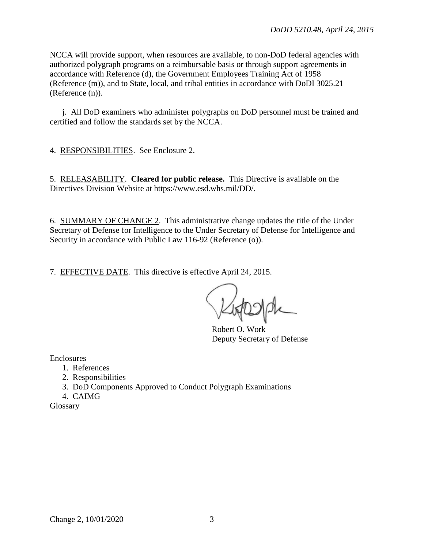NCCA will provide support, when resources are available, to non-DoD federal agencies with authorized polygraph programs on a reimbursable basis or through support agreements in accordance with Reference (d), the Government Employees Training Act of 1958 (Reference (m)), and to State, local, and tribal entities in accordance with DoDI 3025.21 (Reference (n)).

 j. All DoD examiners who administer polygraphs on DoD personnel must be trained and certified and follow the standards set by the NCCA.

4. RESPONSIBILITIES. See Enclosure 2.

5. RELEASABILITY. **Cleared for public release.** This Directive is available on the Directives Division Website at https://www.esd.whs.mil/DD/.

6. SUMMARY OF CHANGE 2. This administrative change updates the title of the Under Secretary of Defense for Intelligence to the Under Secretary of Defense for Intelligence and Security in accordance with Public Law 116-92 (Reference  $(o)$ ).

7. EFFECTIVE DATE. This directive is effective April 24, 2015.

Robert O. Work Deputy Secretary of Defense

Enclosures

- 1. References
- 2. Responsibilities
- 3. DoD Components Approved to Conduct Polygraph Examinations

4. CAIMG

Glossary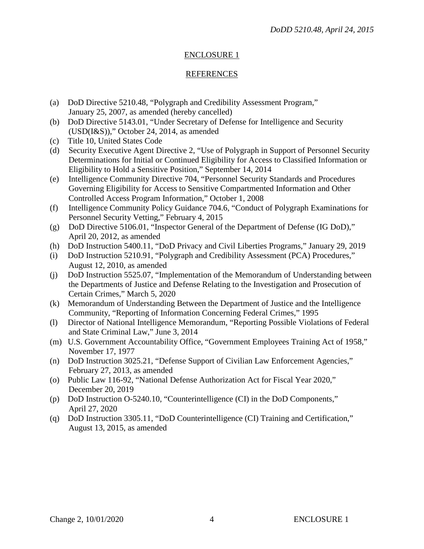## REFERENCES

- (a) DoD Directive 5210.48, "Polygraph and Credibility Assessment Program," January 25, 2007, as amended (hereby cancelled)
- (b) DoD Directive 5143.01, "Under Secretary of Defense for Intelligence and Security (USD(I&S))," October 24, 2014, as amended
- (c) Title 10, United States Code
- (d) Security Executive Agent Directive 2, "Use of Polygraph in Support of Personnel Security Determinations for Initial or Continued Eligibility for Access to Classified Information or Eligibility to Hold a Sensitive Position," September 14, 2014
- (e) Intelligence Community Directive 704, "Personnel Security Standards and Procedures Governing Eligibility for Access to Sensitive Compartmented Information and Other Controlled Access Program Information," October 1, 2008
- (f) Intelligence Community Policy Guidance 704.6, "Conduct of Polygraph Examinations for Personnel Security Vetting," February 4, 2015
- (g) DoD Directive 5106.01, "Inspector General of the Department of Defense (IG DoD)," April 20, 2012, as amended
- (h) DoD Instruction 5400.11, "DoD Privacy and Civil Liberties Programs," January 29, 2019
- (i) DoD Instruction 5210.91, "Polygraph and Credibility Assessment (PCA) Procedures," August 12, 2010, as amended
- (j) DoD Instruction 5525.07, "Implementation of the Memorandum of Understanding between the Departments of Justice and Defense Relating to the Investigation and Prosecution of Certain Crimes," March 5, 2020
- (k) Memorandum of Understanding Between the Department of Justice and the Intelligence Community, "Reporting of Information Concerning Federal Crimes," 1995
- (l) Director of National Intelligence Memorandum, "Reporting Possible Violations of Federal and State Criminal Law," June 3, 2014
- (m) U.S. Government Accountability Office, "Government Employees Training Act of 1958," November 17, 1977
- (n) DoD Instruction 3025.21, "Defense Support of Civilian Law Enforcement Agencies," February 27, 2013, as amended
- (o) Public Law 116-92, "National Defense Authorization Act for Fiscal Year 2020," December 20, 2019
- (p) DoD Instruction O-5240.10, "Counterintelligence (CI) in the DoD Components," April 27, 2020
- (q) DoD Instruction 3305.11, "DoD Counterintelligence (CI) Training and Certification," August 13, 2015, as amended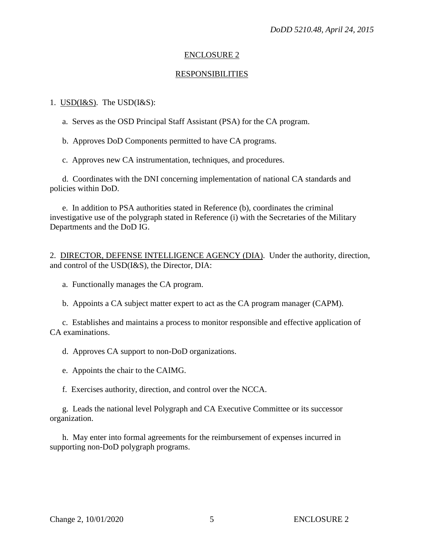#### RESPONSIBILITIES

#### 1.  $USD(I&S)$ . The  $USD(I&S)$ :</u>

a. Serves as the OSD Principal Staff Assistant (PSA) for the CA program.

b. Approves DoD Components permitted to have CA programs.

c. Approves new CA instrumentation, techniques, and procedures.

d. Coordinates with the DNI concerning implementation of national CA standards and policies within DoD.

e. In addition to PSA authorities stated in Reference (b), coordinates the criminal investigative use of the polygraph stated in Reference (i) with the Secretaries of the Military Departments and the DoD IG.

2. DIRECTOR, DEFENSE INTELLIGENCE AGENCY (DIA). Under the authority, direction, and control of the USD(I&S), the Director, DIA:

- a. Functionally manages the CA program.
- b. Appoints a CA subject matter expert to act as the CA program manager (CAPM).

c. Establishes and maintains a process to monitor responsible and effective application of CA examinations.

d. Approves CA support to non-DoD organizations.

e. Appoints the chair to the CAIMG.

f. Exercises authority, direction, and control over the NCCA.

g. Leads the national level Polygraph and CA Executive Committee or its successor organization.

h. May enter into formal agreements for the reimbursement of expenses incurred in supporting non-DoD polygraph programs.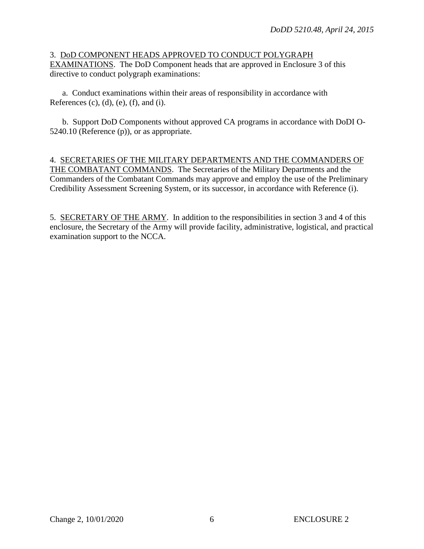#### 3. DoD COMPONENT HEADS APPROVED TO CONDUCT POLYGRAPH EXAMINATIONS. The DoD Component heads that are approved in Enclosure 3 of this directive to conduct polygraph examinations:

a. Conduct examinations within their areas of responsibility in accordance with References  $(c)$ ,  $(d)$ ,  $(e)$ ,  $(f)$ , and  $(i)$ .

b. Support DoD Components without approved CA programs in accordance with DoDI O-5240.10 (Reference (p)), or as appropriate.

## 4. SECRETARIES OF THE MILITARY DEPARTMENTS AND THE COMMANDERS OF THE COMBATANT COMMANDS. The Secretaries of the Military Departments and the Commanders of the Combatant Commands may approve and employ the use of the Preliminary Credibility Assessment Screening System, or its successor, in accordance with Reference (i).

5. SECRETARY OF THE ARMY. In addition to the responsibilities in section 3 and 4 of this enclosure, the Secretary of the Army will provide facility, administrative, logistical, and practical examination support to the NCCA.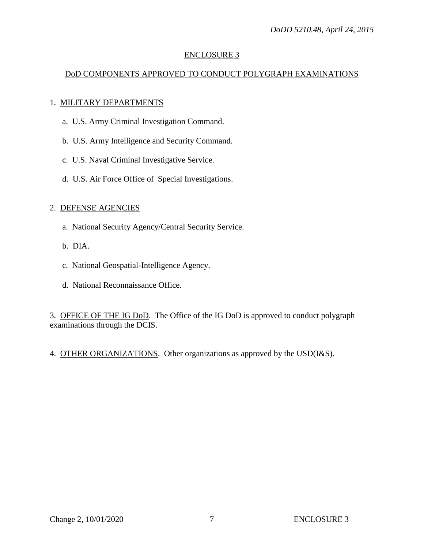# DoD COMPONENTS APPROVED TO CONDUCT POLYGRAPH EXAMINATIONS

## 1. MILITARY DEPARTMENTS

- a. U.S. Army Criminal Investigation Command.
- b. U.S. Army Intelligence and Security Command.
- c. U.S. Naval Criminal Investigative Service.
- d. U.S. Air Force Office of Special Investigations.

## 2. DEFENSE AGENCIES

- a. National Security Agency/Central Security Service.
- b. DIA.
- c. National Geospatial-Intelligence Agency.
- d. National Reconnaissance Office.

3. OFFICE OF THE IG DoD. The Office of the IG DoD is approved to conduct polygraph examinations through the DCIS.

4. OTHER ORGANIZATIONS. Other organizations as approved by the USD(I&S).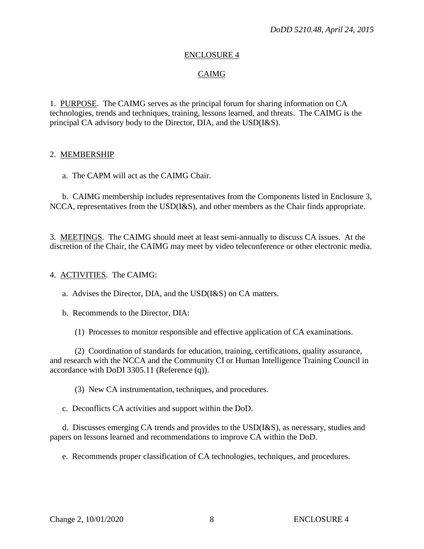## CAIMG

1. PURPOSE. The CAIMG serves as the principal forum for sharing information on CA technologies, trends and techniques, training, lessons learned, and threats. The CAIMG is the principal CA advisory body to the Director, DIA, and the USD(I&S).

#### 2. MEMBERSHIP

a. The CAPM will act as the CAIMG Chair.

b. CAIMG membership includes representatives from the Components listed in Enclosure 3, NCCA, representatives from the USD(I&S), and other members as the Chair finds appropriate.

3. MEETINGS. The CAIMG should meet at least semi-annually to discuss CA issues. At the discretion of the Chair, the CAIMG may meet by video teleconference or other electronic media.

#### 4. ACTIVITIES. The CAIMG:

a. Advises the Director, DIA, and the USD(I&S) on CA matters.

b. Recommends to the Director, DIA:

(1) Processes to monitor responsible and effective application of CA examinations.

(2) Coordination of standards for education, training, certifications, quality assurance, and research with the NCCA and the Community CI or Human Intelligence Training Council in accordance with DoDI 3305.11 (Reference (q)).

(3) New CA instrumentation, techniques, and procedures.

c. Deconflicts CA activities and support within the DoD.

d. Discusses emerging CA trends and provides to the USD(I&S), as necessary, studies and papers on lessons learned and recommendations to improve CA within the DoD.

e. Recommends proper classification of CA technologies, techniques, and procedures.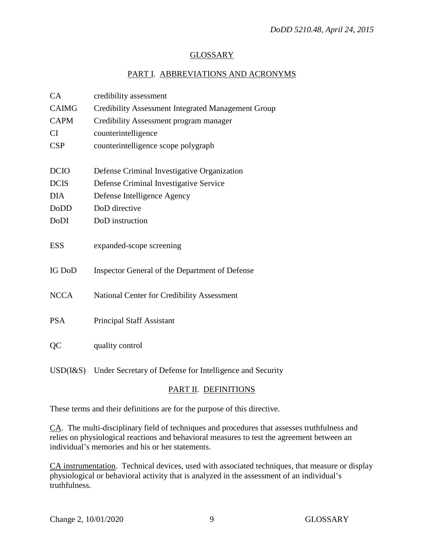## GLOSSARY

# PART I. ABBREVIATIONS AND ACRONYMS

| CA            | credibility assessment                                                                 |
|---------------|----------------------------------------------------------------------------------------|
| <b>CAIMG</b>  | <b>Credibility Assessment Integrated Management Group</b>                              |
| <b>CAPM</b>   | Credibility Assessment program manager                                                 |
| CI            | counterintelligence                                                                    |
| <b>CSP</b>    | counterintelligence scope polygraph                                                    |
|               |                                                                                        |
| <b>DCIO</b>   | Defense Criminal Investigative Organization                                            |
| <b>DCIS</b>   | Defense Criminal Investigative Service                                                 |
| <b>DIA</b>    | Defense Intelligence Agency                                                            |
| <b>DoDD</b>   | DoD directive                                                                          |
| DoDI          | DoD instruction                                                                        |
|               |                                                                                        |
| <b>ESS</b>    | expanded-scope screening                                                               |
|               |                                                                                        |
| <b>IG DoD</b> | Inspector General of the Department of Defense                                         |
|               |                                                                                        |
| <b>NCCA</b>   | National Center for Credibility Assessment                                             |
| <b>PSA</b>    | <b>Principal Staff Assistant</b>                                                       |
|               |                                                                                        |
| QC            | quality control                                                                        |
|               |                                                                                        |
|               | $I(\mathcal{R}, \mathcal{C})$ Index Secretary of Defense for Intelligence and Security |

USD(I&S) Under Secretary of Defense for Intelligence and Security

# PART II. DEFINITIONS

These terms and their definitions are for the purpose of this directive.

CA. The multi-disciplinary field of techniques and procedures that assesses truthfulness and relies on physiological reactions and behavioral measures to test the agreement between an individual's memories and his or her statements.

CA instrumentation. Technical devices, used with associated techniques, that measure or display physiological or behavioral activity that is analyzed in the assessment of an individual's truthfulness.